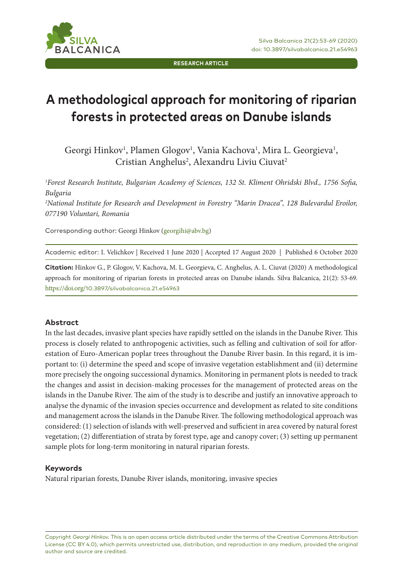**ILVA LCANICA** 

**RESEARCH ARTICLE**

# **A methodological approach for monitoring of riparian forests in protected areas on Danube islands**

Georgi Hinkov<sup>1</sup>, Plamen Glogov<sup>1</sup>, Vania Kachova<sup>1</sup>, Mira L. Georgieva<sup>1</sup>, Cristian Anghelus<sup>2</sup>, Alexandru Liviu Ciuvat<sup>2</sup>

*1 Forest Research Institute, Bulgarian Academy of Sciences, 132 St. Kliment Ohridski Blvd., 1756 Sofia, Bulgaria 2 National Institute for Research and Development in Forestry "Marin Dracea", 128 Bulevardul Eroilor, 077190 Voluntari, Romania* 

Corresponding author: Georgi Hinkov (georgihi@abv.bg)

Academic editor: I. Velichkov | Received 1 June 2020 | Accepted 17 August 2020 | Published 6 October 2020

**Citation:** Hinkov G., P. Glogov, V. Kachova, M. L. Georgieva, C. Anghelus, А. L. Ciuvat (2020) A methodological approach for monitoring of riparian forests in protected areas on Danube islands. Silva Balcanica, 21(2): 53-69. https://doi.org/10.3897/silvabalcanica.21.e54963

#### **Abstract**

In the last decades, invasive plant species have rapidly settled on the islands in the Danube River. This process is closely related to anthropogenic activities, such as felling and cultivation of soil for afforestation of Euro-American poplar trees throughout the Danube River basin. In this regard, it is important to: (i) determine the speed and scope of invasive vegetation establishment and (ii) determine more precisely the ongoing successional dynamics. Monitoring in permanent plots is needed to track the changes and assist in decision-making processes for the management of protected areas on the islands in the Danube River. The aim of the study is to describe and justify an innovative approach to analyse the dynamic of the invasion species occurrence and development as related to site conditions and management across the islands in the Danube River. The following methodological approach was considered: (1) selection of islands with well-preserved and sufficient in area covered by natural forest vegetation; (2) differentiation of strata by forest type, age and canopy cover; (3) setting up permanent sample plots for long-term monitoring in natural riparian forests.

#### **Keywords**

Natural riparian forests, Danube River islands, monitoring, invasive species

Copyright *Georgi Hinkov.* This is an open access article distributed under the terms of the Creative Commons Attribution License (CC BY 4.0), which permits unrestricted use, distribution, and reproduction in any medium, provided the original author and source are credited.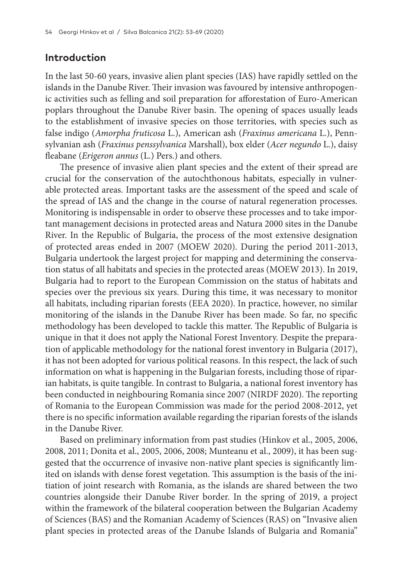#### **Introduction**

In the last 50-60 years, invasive alien plant species (IAS) have rapidly settled on the islands in the Danube River. Their invasion was favoured by intensive anthropogenic activities such as felling and soil preparation for afforestation of Euro-American poplars throughout the Danube River basin. The opening of spaces usually leads to the establishment of invasive species on those territories, with species such as false indigo (*Amorpha fruticosa* L.), American ash (*Fraxinus americana* L.), Pennsylvanian ash (*Fraxinus penssylvanica* Marshall), box elder (*Acer negundo* L.), daisy fleabane (*Erigeron annus* (L.) Pers.) and others.

The presence of invasive alien plant species and the extent of their spread are crucial for the conservation of the autochthonous habitats, especially in vulnerable protected areas. Important tasks are the assessment of the speed and scale of the spread of IAS and the change in the course of natural regeneration processes. Monitoring is indispensable in order to observe these processes and to take important management decisions in protected areas and Natura 2000 sites in the Danube River. In the Republic of Bulgaria, the process of the most extensive designation of protected areas ended in 2007 (MOEW 2020). During the period 2011-2013, Bulgaria undertook the largest project for mapping and determining the conservation status of all habitats and species in the protected areas (MOEW 2013). In 2019, Bulgaria had to report to the European Commission on the status of habitats and species over the previous six years. During this time, it was necessary to monitor all habitats, including riparian forests (EEA 2020). In practice, however, no similar monitoring of the islands in the Danube River has been made. So far, no specific methodology has been developed to tackle this matter. The Republic of Bulgaria is unique in that it does not apply the National Forest Inventory. Despite the preparation of applicable methodology for the national forest inventory in Bulgaria (2017), it has not been adopted for various political reasons. In this respect, the lack of such information on what is happening in the Bulgarian forests, including those of riparian habitats, is quite tangible. In contrast to Bulgaria, a national forest inventory has been conducted in neighbouring Romania since 2007 (NIRDF 2020). The reporting of Romania to the European Commission was made for the period 2008-2012, yet there is no specific information available regarding the riparian forests of the islands in the Danube River.

Based on preliminary information from past studies (Hinkov et al., 2005, 2006, 2008, 2011; Donita et al., 2005, 2006, 2008; Munteanu et al., 2009), it has been suggested that the occurrence of invasive non-native plant species is significantly limited on islands with dense forest vegetation. This assumption is the basis of the initiation of joint research with Romania, as the islands are shared between the two countries alongside their Danube River border. In the spring of 2019, a project within the framework of the bilateral cooperation between the Bulgarian Academy of Sciences (BAS) and the Romanian Academy of Sciences (RAS) on "Invasive alien plant species in protected areas of the Danube Islands of Bulgaria and Romania"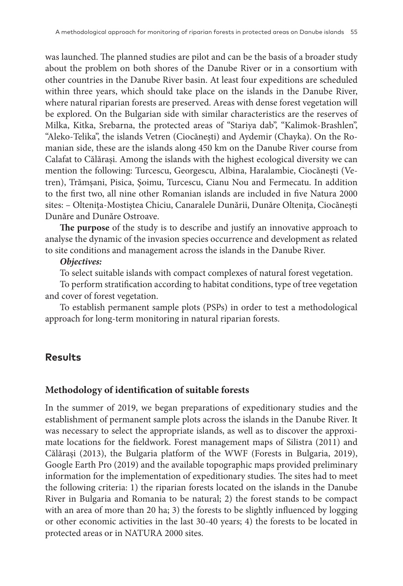was launched. The planned studies are pilot and can be the basis of a broader study about the problem on both shores of the Danube River or in a consortium with other countries in the Danube River basin. At least four expeditions are scheduled within three years, which should take place on the islands in the Danube River, where natural riparian forests are preserved. Areas with dense forest vegetation will be explored. On the Bulgarian side with similar characteristics are the reserves of Milka, Kitka, Srebarna, the protected areas of "Stariya dab", "Kalimok-Brashlen", "Aleko-Telika", the islands Vetren (Ciocăneşti) and Aydemir (Chayka). On the Romanian side, these are the islands along 450 km on the Danube River course from Calafat to Călărași. Among the islands with the highest ecological diversity we can mention the following: Turcescu, Georgescu, Albina, Haralambie, Ciocăneşti (Vetren), Trămşani, Pisica, Şoimu, Turcescu, Cianu Nou and Fermecatu. In addition to the first two, all nine other Romanian islands are included in five Natura 2000 sites: – Olteniţa-Mostiştea Chiciu, Canaralele Dunării, Dunăre Olteniţa, Ciocăneşti Dunăre and Dunăre Ostroave.

**The purpose** of the study is to describe and justify an innovative approach to analyse the dynamic of the invasion species occurrence and development as related to site conditions and management across the islands in the Danube River.

#### *Objectives:*

To select suitable islands with compact complexes of natural forest vegetation.

To perform stratification according to habitat conditions, type of tree vegetation and cover of forest vegetation.

To establish permanent sample plots (PSPs) in order to test a methodological approach for long-term monitoring in natural riparian forests.

# **Results**

#### **Methodology of identification of suitable forests**

In the summer of 2019, we began preparations of expeditionary studies and the establishment of permanent sample plots across the islands in the Danube River. It was necessary to select the appropriate islands, as well as to discover the approximate locations for the fieldwork. Forest management maps of Silistra (2011) and Călărași (2013), the Bulgaria platform of the WWF (Forests in Bulgaria, 2019), Google Earth Pro (2019) and the available topographic maps provided preliminary information for the implementation of expeditionary studies. The sites had to meet the following criteria: 1) the riparian forests located on the islands in the Danube River in Bulgaria and Romania to be natural; 2) the forest stands to be compact with an area of more than 20 ha; 3) the forests to be slightly influenced by logging or other economic activities in the last 30-40 years; 4) the forests to be located in protected areas or in NATURA 2000 sites.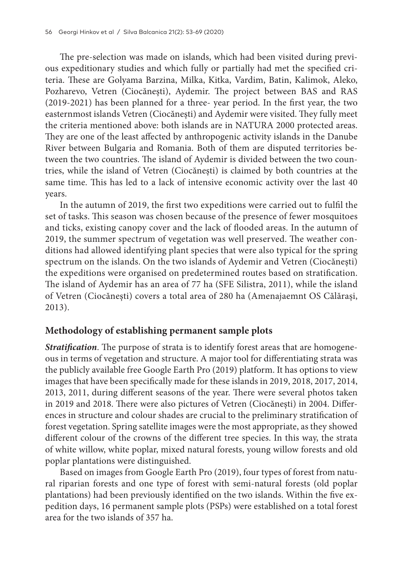The pre-selection was made on islands, which had been visited during previous expeditionary studies and which fully or partially had met the specified criteria. These are Golyama Barzina, Milka, Kitka, Vardim, Batin, Kalimok, Aleko, Pozharevo, Vetren (Ciocăneşti), Aydemir. The project between BAS and RAS (2019-2021) has been planned for a three- year period. In the first year, the two easternmost islands Vetren (Ciocăneşti) and Aydemir were visited. They fully meet the criteria mentioned above: both islands are in NATURA 2000 protected areas. They are one of the least affected by anthropogenic activity islands in the Danube River between Bulgaria and Romania. Both of them are disputed territories between the two countries. The island of Aydemir is divided between the two countries, while the island of Vetren (Ciocăneşti) is claimed by both countries at the same time. This has led to a lack of intensive economic activity over the last 40 years.

In the autumn of 2019, the first two expeditions were carried out to fulfil the set of tasks. This season was chosen because of the presence of fewer mosquitoes and ticks, existing canopy cover and the lack of flooded areas. In the autumn of 2019, the summer spectrum of vegetation was well preserved. The weather conditions had allowed identifying plant species that were also typical for the spring spectrum on the islands. On the two islands of Aydemir and Vetren (Ciocăneşti) the expeditions were organised on predetermined routes based on stratification. The island of Aydemir has an area of 77 ha (SFE Silistra, 2011), while the island of Vetren (Ciocăneşti) covers a total area of 280 ha (Amenajaemnt OS Călărași, 2013).

## **Methodology of establishing permanent sample plots**

*Stratification*. The purpose of strata is to identify forest areas that are homogeneous in terms of vegetation and structure. A major tool for differentiating strata was the publicly available free Google Earth Pro (2019) platform. It has options to view images that have been specifically made for these islands in 2019, 2018, 2017, 2014, 2013, 2011, during different seasons of the year. There were several photos taken in 2019 and 2018. There were also pictures of Vetren (Ciocăneşti) in 2004. Differences in structure and colour shades are crucial to the preliminary stratification of forest vegetation. Spring satellite images were the most appropriate, as they showed different colour of the crowns of the different tree species. In this way, the strata of white willow, white poplar, mixed natural forests, young willow forests and old poplar plantations were distinguished.

Based on images from Google Earth Pro (2019), four types of forest from natural riparian forests and one type of forest with semi-natural forests (old poplar plantations) had been previously identified on the two islands. Within the five expedition days, 16 permanent sample plots (PSPs) were established on a total forest area for the two islands of 357 ha.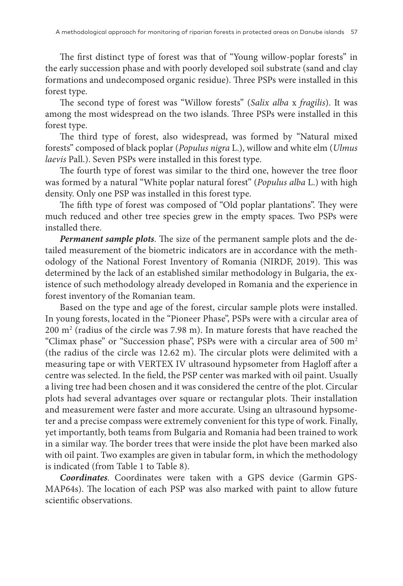The first distinct type of forest was that of "Young willow-poplar forests" in the early succession phase and with poorly developed soil substrate (sand and clay formations and undecomposed organic residue). Three PSPs were installed in this forest type.

The second type of forest was "Willow forests" (*Salix alba* x *fragilis*). It was among the most widespread on the two islands. Three PSPs were installed in this forest type.

The third type of forest, also widespread, was formed by "Natural mixed forests" composed of black poplar (*Populus nigra* L.), willow and white elm (*Ulmus laevis* Pall.). Seven PSPs were installed in this forest type.

The fourth type of forest was similar to the third one, however the tree floor was formed by a natural "White poplar natural forest" (*Populus alba* L.) with high density. Only one PSP was installed in this forest type.

The fifth type of forest was composed of "Old poplar plantations". They were much reduced and other tree species grew in the empty spaces. Two PSPs were installed there.

*Permanent sample plots*. The size of the permanent sample plots and the detailed measurement of the biometric indicators are in accordance with the methodology of the National Forest Inventory of Romania (NIRDF, 2019). This was determined by the lack of an established similar methodology in Bulgaria, the existence of such methodology already developed in Romania and the experience in forest inventory of the Romanian team.

Based on the type and age of the forest, circular sample plots were installed. In young forests, located in the "Pioneer Phase", PSPs were with a circular area of 200 m2 (radius of the circle was 7.98 m). In mature forests that have reached the "Climax phase" or "Succession phase", PSPs were with a circular area of 500 m<sup>2</sup> (the radius of the circle was 12.62 m). The circular plots were delimited with a measuring tape or with VERTEX IV ultrasound hypsometer from Hagloff after a centre was selected. In the field, the PSP center was marked with oil paint. Usually a living tree had been chosen and it was considered the centre of the plot. Circular plots had several advantages over square or rectangular plots. Their installation and measurement were faster and more accurate. Using an ultrasound hypsometer and a precise compass were extremely convenient for this type of work. Finally, yet importantly, both teams from Bulgaria and Romania had been trained to work in a similar way. The border trees that were inside the plot have been marked also with oil paint. Two examples are given in tabular form, in which the methodology is indicated (from Table 1 to Table 8).

*Coordinates*. Coordinates were taken with a GPS device (Garmin GPS-MAP64s). The location of each PSP was also marked with paint to allow future scientific observations.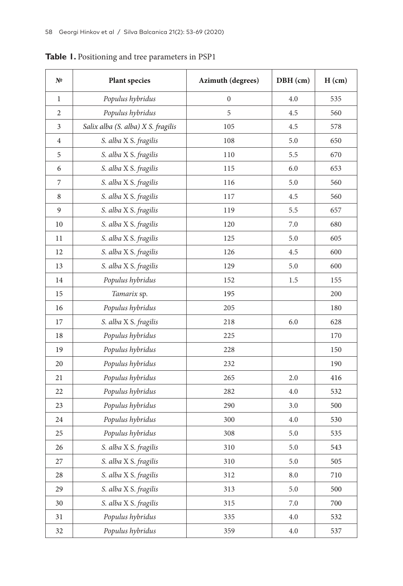| Nº             | Plant species                      | Azimuth (degrees) | DBH (cm)  | H (cm) |
|----------------|------------------------------------|-------------------|-----------|--------|
| $\mathbf{1}$   | Populus hybridus                   | $\mathbf{0}$      | 4.0       | 535    |
| $\overline{2}$ | Populus hybridus                   | 5                 | 4.5       | 560    |
| 3              | Salix alba (S. alba) X S. fragilis | 105               | 4.5       | 578    |
| $\overline{4}$ | S. alba X S. fragilis              | 108               | 5.0       | 650    |
| 5              | S. alba X S. fragilis              | 110               | 5.5       | 670    |
| 6              | S. alba X S. fragilis              | 115               | 6.0       | 653    |
| 7              | S. alba X S. fragilis              | 116               | 5.0       | 560    |
| 8              | S. alba X S. fragilis              | 117               | 4.5       | 560    |
| 9              | S. alba X S. fragilis              | 119               | 5.5       | 657    |
| 10             | S. alba X S. fragilis              | 120               | 7.0       | 680    |
| 11             | S. alba X S. fragilis              | 125               | 5.0       | 605    |
| 12             | S. alba X S. fragilis              | 126               | 4.5       | 600    |
| 13             | S. alba X S. fragilis              | 129               | 5.0       | 600    |
| 14             | Populus hybridus                   | 152               | 1.5       | 155    |
| 15             | Tamarix sp.                        | 195               |           | 200    |
| 16             | Populus hybridus                   | 205               |           | 180    |
| 17             | S. alba X S. fragilis              | 218               | 6.0       | 628    |
| 18             | Populus hybridus                   | 225               |           | 170    |
| 19             | Populus hybridus                   | 228               |           | 150    |
| 20             | Populus hybridus                   | 232               |           | 190    |
| 21             | Populus hybridus                   | 265               | 2.0       | 416    |
| 22             | Populus hybridus                   | 282               | 4.0       | 532    |
| 23             | Populus hybridus                   | 290               | 3.0       | 500    |
| 24             | Populus hybridus                   | 300               | 4.0       | 530    |
| 25             | Populus hybridus                   | 308               | 5.0       | 535    |
| 26             | S. alba X S. fragilis              | 310               | 5.0       | 543    |
| 27             | S. alba X S. fragilis              | 310               | 5.0       | 505    |
| 28             | S. alba X S. fragilis              | 312               | $\rm 8.0$ | 710    |
| 29             | S. alba X S. fragilis              | 313               | 5.0       | 500    |
| 30             | S. alba X S. fragilis              | 315               | 7.0       | 700    |
| 31             | Populus hybridus                   | 335               | 4.0       | 532    |
| 32             | Populus hybridus                   | 359               | $4.0\,$   | 537    |

**Table 1.** Positioning and tree parameters in PSP1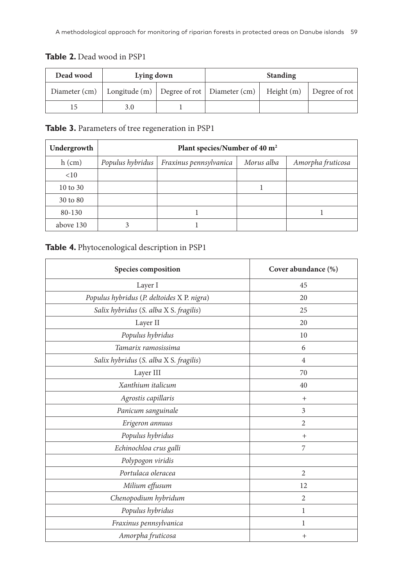| Dead wood | Lying down |  | <b>Standing</b>                                                                            |  |  |
|-----------|------------|--|--------------------------------------------------------------------------------------------|--|--|
|           |            |  | Diameter (cm)   Longitude (m)   Degree of rot   Diameter (cm)   Height (m)   Degree of rot |  |  |
|           | 3.0        |  |                                                                                            |  |  |

## Table 2. Dead wood in PSP1

#### **Table 3.** Parameters of tree regeneration in PSP1

| Undergrowth | Plant species/Number of 40 m <sup>2</sup> |                        |            |                   |  |  |
|-------------|-------------------------------------------|------------------------|------------|-------------------|--|--|
| $h$ (cm)    | Populus hybridus                          | Fraxinus pennsylvanica | Morus alba | Amorpha fruticosa |  |  |
| <10         |                                           |                        |            |                   |  |  |
| 10 to 30    |                                           |                        |            |                   |  |  |
| 30 to 80    |                                           |                        |            |                   |  |  |
| 80-130      |                                           |                        |            |                   |  |  |
| above 130   |                                           |                        |            |                   |  |  |

#### **Table 4.** Phytocenological description in PSP1

| Species composition                        | Cover abundance (%) |
|--------------------------------------------|---------------------|
| Layer I                                    | 45                  |
| Populus hybridus (P. deltoides X P. nigra) | 20                  |
| Salix hybridus (S. alba X S. fragilis)     | 25                  |
| Layer II                                   | 20                  |
| Populus hybridus                           | 10                  |
| Tamarix ramosissima                        | 6                   |
| Salix hybridus (S. alba X S. fragilis)     | $\overline{4}$      |
| Layer III                                  | 70                  |
| Xanthium italicum                          | 40                  |
| Agrostis capillaris                        | $^{+}$              |
| Panicum sanguinale                         | 3                   |
| Erigeron annuus                            | $\overline{2}$      |
| Populus hybridus                           | $+$                 |
| Echinochloa crus galli                     | 7                   |
| Polypogon viridis                          |                     |
| Portulaca oleracea                         | $\overline{2}$      |
| Milium effusum                             | 12                  |
| Chenopodium hybridum                       | $\overline{2}$      |
| Populus hybridus                           | $\mathbf{1}$        |
| Fraxinus pennsylvanica                     | 1                   |
| Amorpha fruticosa                          | $^{+}$              |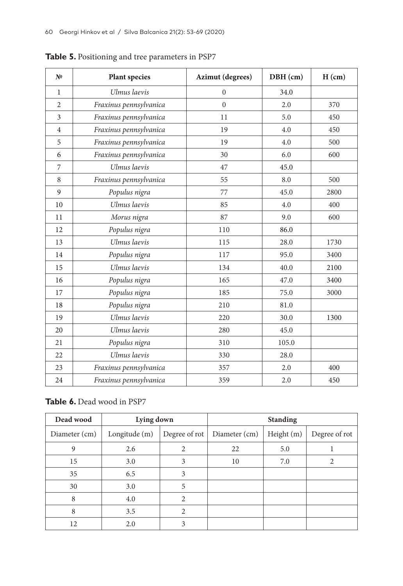| N <sub>2</sub> | <b>Plant species</b>   | <b>Azimut</b> (degrees) | DBH (cm) | H (cm) |
|----------------|------------------------|-------------------------|----------|--------|
| $\mathbf{1}$   | Ulmus laevis           | $\mathbf{0}$            | 34.0     |        |
| $\overline{2}$ | Fraxinus pennsylvanica | $\theta$                | 2.0      | 370    |
| 3              | Fraxinus pennsylvanica | 11                      | 5.0      | 450    |
| $\overline{4}$ | Fraxinus pennsylvanica | 19                      | 4.0      | 450    |
| 5              | Fraxinus pennsylvanica | 19                      | 4.0      | 500    |
| 6              | Fraxinus pennsylvanica | 30                      | 6.0      | 600    |
| $\overline{7}$ | Ulmus laevis           | 47                      | 45.0     |        |
| 8              | Fraxinus pennsylvanica | 55                      | 8.0      | 500    |
| 9              | Populus nigra          | 77                      | 45.0     | 2800   |
| 10             | Ulmus laevis           | 85                      | 4.0      | 400    |
| 11             | Morus nigra            | 87                      | 9.0      | 600    |
| 12             | Populus nigra          | 110                     | 86.0     |        |
| 13             | Ulmus laevis           | 115                     | 28.0     | 1730   |
| 14             | Populus nigra          | 117                     | 95.0     | 3400   |
| 15             | Ulmus laevis           | 134                     | 40.0     | 2100   |
| 16             | Populus nigra          | 165                     | 47.0     | 3400   |
| 17             | Populus nigra          | 185                     | 75.0     | 3000   |
| 18             | Populus nigra          | 210                     | 81.0     |        |
| 19             | Ulmus laevis           | 220                     | 30.0     | 1300   |
| 20             | Ulmus laevis           | 280                     | 45.0     |        |
| 21             | Populus nigra          | 310                     | 105.0    |        |
| 22             | Ulmus laevis           | 330                     | 28.0     |        |
| 23             | Fraxinus pennsylvanica | 357                     | 2.0      | 400    |
| 24             | Fraxinus pennsylvanica | 359                     | 2.0      | 450    |

**Table 5.** Positioning and tree parameters in PSP7

#### Table 6. Dead wood in PSP7

| Dead wood     | Lying down    |                       | <b>Standing</b> |            |               |
|---------------|---------------|-----------------------|-----------------|------------|---------------|
| Diameter (cm) | Longitude (m) | Degree of rot $\vert$ | Diameter (cm)   | Height (m) | Degree of rot |
| 9             | 2.6           | 2                     | 22              | 5.0        |               |
| 15            | 3.0           | 3                     | 10              | 7.0        |               |
| 35            | 6.5           | 3                     |                 |            |               |
| 30            | 3.0           | 5                     |                 |            |               |
| 8             | 4.0           | $\mathfrak{D}$        |                 |            |               |
| 8             | 3.5           | $\mathfrak{D}$        |                 |            |               |
| 12            | 2.0           | 3                     |                 |            |               |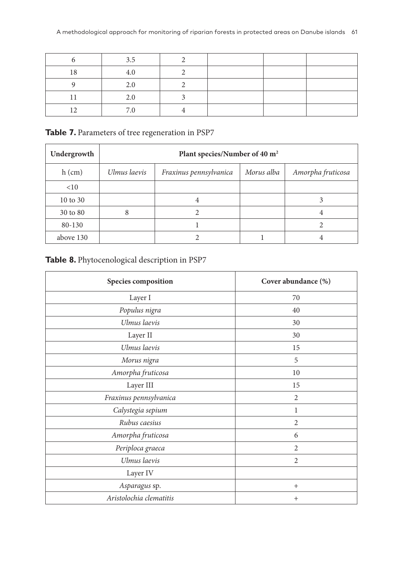|    | 3.5 |  |  |
|----|-----|--|--|
| 18 | 4.0 |  |  |
|    | 2.0 |  |  |
|    | 2.0 |  |  |
|    | 7 O |  |  |

Table 7. Parameters of tree regeneration in PSP7

| Undergrowth | Plant species/Number of 40 m <sup>2</sup> |                        |            |                   |  |  |
|-------------|-------------------------------------------|------------------------|------------|-------------------|--|--|
| $h$ (cm)    | Ulmus laevis                              | Fraxinus pennsylvanica | Morus alba | Amorpha fruticosa |  |  |
| <10         |                                           |                        |            |                   |  |  |
| 10 to 30    |                                           | 4                      |            |                   |  |  |
| 30 to 80    | 8                                         |                        |            | 4                 |  |  |
| 80-130      |                                           |                        |            |                   |  |  |
| above 130   |                                           |                        |            |                   |  |  |

# **Table 8.** Phytocenological description in PSP7

| Species composition     | Cover abundance (%) |
|-------------------------|---------------------|
| Layer I                 | 70                  |
| Populus nigra           | 40                  |
| Ulmus laevis            | 30                  |
| Layer II                | 30                  |
| Ulmus laevis            | 15                  |
| Morus nigra             | 5                   |
| Amorpha fruticosa       | 10                  |
| Layer III               | 15                  |
| Fraxinus pennsylvanica  | 2                   |
| Calystegia sepium       | 1                   |
| Rubus caesius           | 2                   |
| Amorpha fruticosa       | 6                   |
| Periploca graeca        | 2                   |
| Ulmus laevis            | 2                   |
| Layer IV                |                     |
| Asparagus sp.           | $^{+}$              |
| Aristolochia clematitis | $^{+}$              |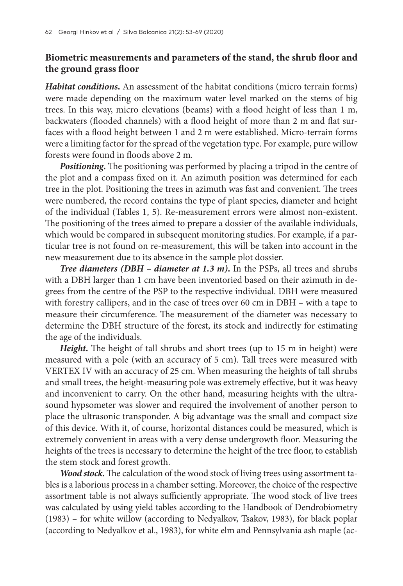# **Biometric measurements and parameters of the stand, the shrub floor and the ground grass floor**

*Habitat conditions***.** An assessment of the habitat conditions (micro terrain forms) were made depending on the maximum water level marked on the stems of big trees. In this way, micro elevations (beams) with a flood height of less than 1 m, backwaters (flooded channels) with a flood height of more than 2 m and flat surfaces with a flood height between 1 and 2 m were established. Micro-terrain forms were a limiting factor for the spread of the vegetation type. For example, pure willow forests were found in floods above 2 m.

*Positioning***.** The positioning was performed by placing a tripod in the centre of the plot and a compass fixed on it. An azimuth position was determined for each tree in the plot. Positioning the trees in azimuth was fast and convenient. The trees were numbered, the record contains the type of plant species, diameter and height of the individual (Tables 1, 5). Re-measurement errors were almost non-existent. The positioning of the trees aimed to prepare a dossier of the available individuals, which would be compared in subsequent monitoring studies. For example, if a particular tree is not found on re-measurement, this will be taken into account in the new measurement due to its absence in the sample plot dossier.

*Tree diameters (DBH – diameter at 1.3 m)***.** In the PSPs, all trees and shrubs with a DBH larger than 1 cm have been inventoried based on their azimuth in degrees from the centre of the PSP to the respective individual. DBH were measured with forestry callipers, and in the case of trees over 60 cm in DBH – with a tape to measure their circumference. The measurement of the diameter was necessary to determine the DBH structure of the forest, its stock and indirectly for estimating the age of the individuals.

*Height***.** The height of tall shrubs and short trees (up to 15 m in height) were measured with a pole (with an accuracy of 5 cm). Tall trees were measured with VERTEX IV with an accuracy of 25 cm. When measuring the heights of tall shrubs and small trees, the height-measuring pole was extremely effective, but it was heavy and inconvenient to carry. On the other hand, measuring heights with the ultrasound hypsometer was slower and required the involvement of another person to place the ultrasonic transponder. A big advantage was the small and compact size of this device. With it, of course, horizontal distances could be measured, which is extremely convenient in areas with a very dense undergrowth floor. Measuring the heights of the trees is necessary to determine the height of the tree floor, to establish the stem stock and forest growth.

*Wood stock***.** The calculation of the wood stock of living trees using assortment tables is a laborious process in a chamber setting. Moreover, the choice of the respective assortment table is not always sufficiently appropriate. The wood stock of live trees was calculated by using yield tables according to the Handbook of Dendrobiometry (1983) – for white willow (according to Nedyalkov, Tsakov, 1983), for black poplar (according to Nedyalkov et al., 1983), for white elm and Pennsylvania ash maple (ac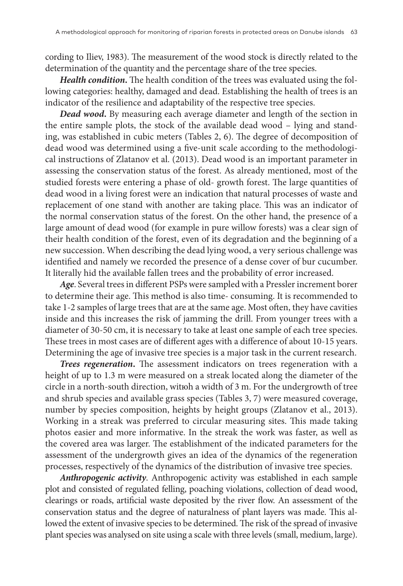cording to Iliev, 1983). The measurement of the wood stock is directly related to the determination of the quantity and the percentage share of the tree species.

*Health condition***.** The health condition of the trees was evaluated using the following categories: healthy, damaged and dead. Establishing the health of trees is an indicator of the resilience and adaptability of the respective tree species.

*Dead wood***.** By measuring each average diameter and length of the section in the entire sample plots, the stock of the available dead wood – lying and standing, was established in cubic meters (Tables 2, 6). The degree of decomposition of dead wood was determined using a five-unit scale according to the methodological instructions of Zlatanov et al. (2013). Dead wood is an important parameter in assessing the conservation status of the forest. As already mentioned, most of the studied forests were entering a phase of old- growth forest. The large quantities of dead wood in a living forest were an indication that natural processes of waste and replacement of one stand with another are taking place. This was an indicator of the normal conservation status of the forest. On the other hand, the presence of a large amount of dead wood (for example in pure willow forests) was a clear sign of their health condition of the forest, even of its degradation and the beginning of a new succession. When describing the dead lying wood, a very serious challenge was identified and namely we recorded the presence of a dense cover of bur cucumber. It literally hid the available fallen trees and the probability of error increased.

*Age*. Several trees in different PSPs were sampled with a Pressler increment borer to determine their age. This method is also time- consuming. It is recommended to take 1-2 samples of large trees that are at the same age. Most often, they have cavities inside and this increases the risk of jamming the drill. From younger trees with a diameter of 30-50 cm, it is necessary to take at least one sample of each tree species. These trees in most cases are of different ages with a difference of about 10-15 years. Determining the age of invasive tree species is a major task in the current research.

*Trees regeneration***.** The assessment indicators on trees regeneration with a height of up to 1.3 m were measured on a streak located along the diameter of the circle in a north-south direction, witюh a width of 3 m. For the undergrowth of tree and shrub species and available grass species (Tables 3, 7) were measured coverage, number by species composition, heights by height groups (Zlatanov et al., 2013). Working in a streak was preferred to circular measuring sites. This made taking photos easier and more informative. In the streak the work was faster, as well as the covered area was larger. The establishment of the indicated parameters for the assessment of the undergrowth gives an idea of the dynamics of the regeneration processes, respectively of the dynamics of the distribution of invasive tree species.

*Anthropogenic activity*. Anthropogenic activity was established in each sample plot and consisted of regulated felling, poaching violations, collection of dead wood, clearings or roads, artificial waste deposited by the river flow. An assessment of the conservation status and the degree of naturalness of plant layers was made. This allowed the extent of invasive species to be determined. The risk of the spread of invasive plant species was analysed on site using a scale with three levels (small, medium, large).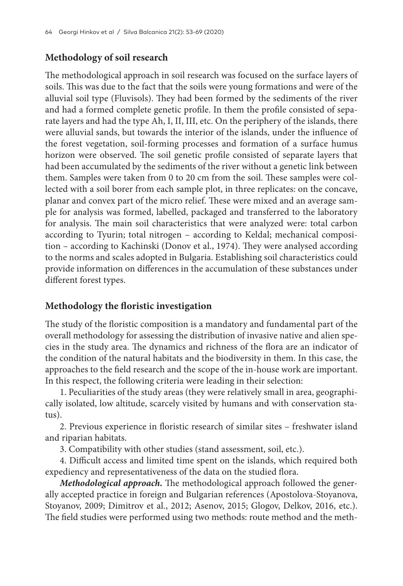# **Methodology of soil research**

The methodological approach in soil research was focused on the surface layers of soils. This was due to the fact that the soils were young formations and were of the alluvial soil type (Fluvisols). They had been formed by the sediments of the river and had a formed complete genetic profile. In them the profile consisted of separate layers and had the type Ah, I, II, III, etc. On the periphery of the islands, there were alluvial sands, but towards the interior of the islands, under the influence of the forest vegetation, soil-forming processes and formation of a surface humus horizon were observed. The soil genetic profile consisted of separate layers that had been accumulated by the sediments of the river without a genetic link between them. Samples were taken from 0 to 20 cm from the soil. These samples were collected with a soil borer from each sample plot, in three replicates: on the concave, planar and convex part of the micro relief. These were mixed and an average sample for analysis was formed, labelled, packaged and transferred to the laboratory for analysis. The main soil characteristics that were analyzed were: total carbon according to Tyurin; total nitrogen – according to Keldal; mechanical composition – according to Kachinski (Donov et al., 1974). They were analysed according to the norms and scales adopted in Bulgaria. Establishing soil characteristics could provide information on differences in the accumulation of these substances under different forest types.

## **Methodology the floristic investigation**

The study of the floristic composition is a mandatory and fundamental part of the overall methodology for assessing the distribution of invasive native and alien species in the study area. The dynamics and richness of the flora are an indicator of the condition of the natural habitats and the biodiversity in them. In this case, the approaches to the field research and the scope of the in-house work are important. In this respect, the following criteria were leading in their selection:

1. Peculiarities of the study areas (they were relatively small in area, geographically isolated, low altitude, scarcely visited by humans and with conservation status).

2. Previous experience in floristic research of similar sites – freshwater island and riparian habitats.

3. Compatibility with other studies (stand assessment, soil, etc.).

4. Difficult access and limited time spent on the islands, which required both expediency and representativeness of the data on the studied flora.

*Methodological approach.* The methodological approach followed the generally accepted practice in foreign and Bulgarian references (Apostolova-Stoyanova, Stoyanov, 2009; Dimitrov et al., 2012; Asenov, 2015; Glogov, Delkov, 2016, etc.). The field studies were performed using two methods: route method and the meth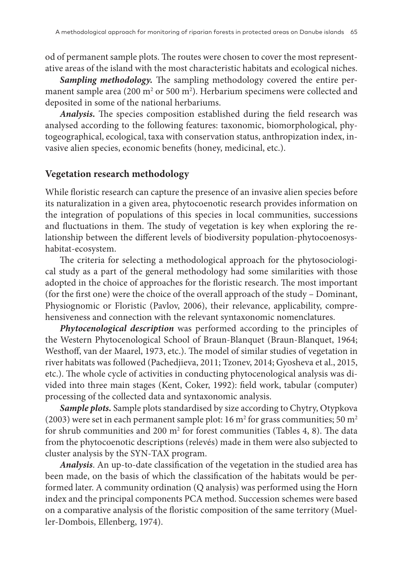od of permanent sample plots. The routes were chosen to cover the most representative areas of the island with the most characteristic habitats and ecological niches.

*Sampling methodology.* The sampling methodology covered the entire permanent sample area (200  $\mathrm{m}^2$  or 500  $\mathrm{m}^2$ ). Herbarium specimens were collected and deposited in some of the national herbariums.

*Analysis.* The species composition established during the field research was analysed according to the following features: taxonomic, biomorphological, phytogeographical, ecological, taxa with conservation status, anthropization index, invasive alien species, economic benefits (honey, medicinal, etc.).

#### **Vegetation research methodology**

While floristic research can capture the presence of an invasive alien species before its naturalization in a given area, phytocoenotic research provides information on the integration of populations of this species in local communities, successions and fluctuations in them. The study of vegetation is key when exploring the relationship between the different levels of biodiversity population-phytocoenosyshabitat-ecosystem.

The criteria for selecting a methodological approach for the phytosociological study as a part of the general methodology had some similarities with those adopted in the choice of approaches for the floristic research. The most important (for the first one) were the choice of the overall approach of the study – Dominant, Physiognomic or Floristic (Pavlov, 2006), their relevance, applicability, comprehensiveness and connection with the relevant syntaxonomic nomenclatures.

*Phytocenological description* was performed according to the principles of the Western Phytocenological School of Braun-Blanquet (Braun-Blanquet, 1964; Westhoff, van der Maarel, 1973, etc.). The model of similar studies of vegetation in river habitats was followed (Pachedjieva, 2011; Tzonev, 2014; Gyosheva et al., 2015, etc.). The whole cycle of activities in conducting phytocenological analysis was divided into three main stages (Kent, Coker, 1992): field work, tabular (computer) processing of the collected data and syntaxonomic analysis.

*Sample plots.* Sample plots standardised by size according to Chytry, Otypkova (2003) were set in each permanent sample plot: 16  $\mathrm{m}^2$  for grass communities; 50  $\mathrm{m}^2$ for shrub communities and 200  $m^2$  for forest communities (Tables 4, 8). The data from the phytocoenotic descriptions (relevés) made in them were also subjected to cluster analysis by the SYN-TAX program.

*Analysis*. An up-to-date classification of the vegetation in the studied area has been made, on the basis of which the classification of the habitats would be performed later. A community ordination (Q analysis) was performed using the Horn index and the principal components PCA method. Succession schemes were based on a comparative analysis of the floristic composition of the same territory (Mueller-Dombois, Ellenberg, 1974).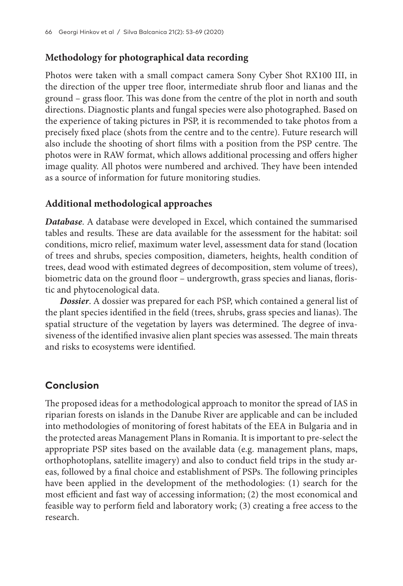# **Methodology for photographical data recording**

Photos were taken with a small compact camera Sony Cyber Shot RX100 III, in the direction of the upper tree floor, intermediate shrub floor and lianas and the ground – grass floor. This was done from the centre of the plot in north and south directions. Diagnostic plants and fungal species were also photographed. Based on the experience of taking pictures in PSP, it is recommended to take photos from a precisely fixed place (shots from the centre and to the centre). Future research will also include the shooting of short films with a position from the PSP centre. The photos were in RAW format, which allows additional processing and offers higher image quality. All photos were numbered and archived. They have been intended as a source of information for future monitoring studies.

# **Additional methodological approaches**

*Database*. A database were developed in Excel, which contained the summarised tables and results. These are data available for the assessment for the habitat: soil conditions, micro relief, maximum water level, assessment data for stand (location of trees and shrubs, species composition, diameters, heights, health condition of trees, dead wood with estimated degrees of decomposition, stem volume of trees), biometric data on the ground floor – undergrowth, grass species and lianas, floristic and phytocenological data.

*Dossier*. A dossier was prepared for each PSP, which contained a general list of the plant species identified in the field (trees, shrubs, grass species and lianas). The spatial structure of the vegetation by layers was determined. The degree of invasiveness of the identified invasive alien plant species was assessed. The main threats and risks to ecosystems were identified.

# **Conclusion**

The proposed ideas for a methodological approach to monitor the spread of IAS in riparian forests on islands in the Danube River are applicable and can be included into methodologies of monitoring of forest habitats of the EEA in Bulgaria and in the protected areas Management Plans in Romania. It is important to pre-select the appropriate PSP sites based on the available data (e.g. management plans, maps, orthophotoplans, satellite imagery) and also to conduct field trips in the study areas, followed by a final choice and establishment of PSPs. The following principles have been applied in the development of the methodologies: (1) search for the most efficient and fast way of accessing information; (2) the most economical and feasible way to perform field and laboratory work; (3) creating a free access to the research.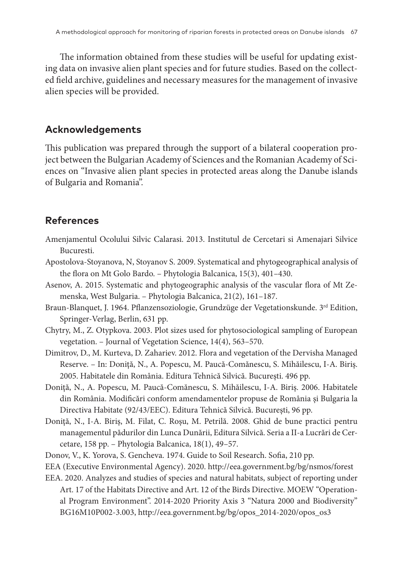The information obtained from these studies will be useful for updating existing data on invasive alien plant species and for future studies. Based on the collected field archive, guidelines and necessary measures for the management of invasive alien species will be provided.

#### **Acknowledgements**

This publication was prepared through the support of a bilateral cooperation project between the Bulgarian Academy of Sciences and the Romanian Academy of Sciences on "Invasive alien plant species in protected areas along the Danube islands of Bulgaria and Romania".

# **References**

- Amenjamentul Ocolului Silvic Calarasi. 2013. Institutul de Cercetari si Amenajari Silvice Bucuresti.
- Apostolova-Stoyanova, N, Stoyanov S. 2009. Systematical and phytogeographical analysis of the flora on Mt Golo Bardo. – Phytologia Balcanica, 15(3), 401–430.
- Asenov, A. 2015. Systematic and phytogeographic analysis of the vascular flora of Mt Zemenska, West Bulgaria. – Phytologia Balcanica, 21(2), 161–187.
- Braun-Blanquet, J. 1964. Pflanzensoziologie, Grundzüge der Vegetationskunde. 3rd Edition, Springer-Verlag, Berlin, 631 pp.
- Chytry, M., Z. Otypkova. 2003. Plot sizes used for phytosociological sampling of European vegetation. – Journal of Vegetation Science, 14(4), 563–570.
- Dimitrov, D., M. Kurteva, D. Zahariev. 2012. Flora and vegetation of the Dervisha Managed Reserve. – In: Doniţă, N., A. Popescu, M. Paucă-Comănescu, S. Mihăilescu, I-A. Biriş. 2005. Habitatele din România. Editura Tehnică Silvică. Bucureşti. 496 pp.
- Doniţă, N., A. Popescu, M. Paucă-Comănescu, S. Mihăilescu, I-A. Biriş. 2006. Habitatele din România. Modificări conform amendamentelor propuse de România şi Bulgaria la Directiva Habitate (92/43/EEC). Editura Tehnică Silvică. Bucureşti, 96 pp.
- Doniţă, N., I-A. Biriş, M. Filat, C. Roşu, M. Petrilă. 2008. Ghid de bune practici pentru managementul pădurilor din Lunca Dunării, Editura Silvică. Seria a II-a Lucrări de Cercetare, 158 pp. – Phytologia Balcanica, 18(1), 49–57.
- Donov, V., K. Yorova, S. Gencheva. 1974. Guide to Soil Research. Sofia, 210 pp.
- EEA (Executive Environmental Agency). 2020. http://eea.government.bg/bg/nsmos/forest
- EEA. 2020. Analyzes and studies of species and natural habitats, subject of reporting under Art. 17 of the Habitats Directive and Art. 12 of the Birds Directive. MOEW "Operational Program Environment". 2014-2020 Priority Axis 3 "Natura 2000 and Biodiversity" BG16M10P002-3.003, http://eea.government.bg/bg/opos\_2014-2020/opos\_os3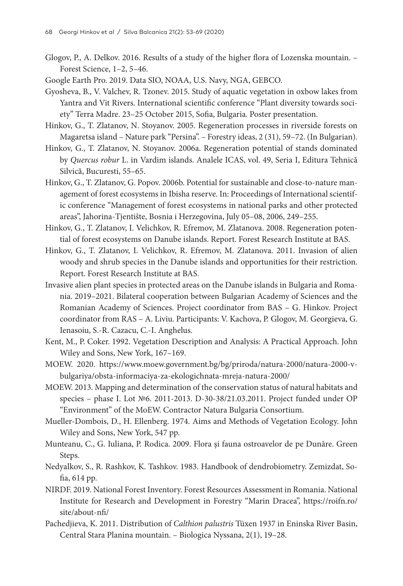Glogov, P., A. Delkov. 2016. Results of a study of the higher flora of Lozenska mountain. – Forest Science, 1–2, 5–46.

Google Earth Pro. 2019. Data SIO, NOAA, U.S. Navy, NGA, GEBCO.

- Gyosheva, B., V. Valchev, R. Tzonev. 2015. Study of aquatic vegetation in oxbow lakes from Yantra and Vit Rivers. International scientific conference "Plant diversity towards society" Terra Madre. 23–25 October 2015, Sofia, Bulgaria. Poster presentation.
- Hinkov, G., T. Zlatanov, N. Stoyanov. 2005. Regeneration processes in riverside forests on Magaretsa island – Nature park "Persina". – Forestry ideas, 2 (31), 59–72. (In Bulgarian).
- Hinkov, G., T. Zlatanov, N. Stoyanov. 2006a. Regeneration potential of stands dominated by *Quercus robur* L. in Vardim islands. Analele ICAS, vol. 49, Seria I, Editura Tehnică Silvică, Bucuresti, 55–65.
- Hinkov, G., T. Zlatanov, G. Popov. 2006b. Potential for sustainable and close-to-nature management of forest ecosystems in Ibisha reserve. In: Proceedings of International scientific conference "Management of forest ecosystems in national parks and other protected areas", Jahorina-Tjentište, Bosnia i Herzegovina, July 05–08, 2006, 249–255.
- Hinkov, G., T. Zlatanov, I. Velichkov, R. Efremov, M. Zlatanova. 2008. Regeneration potential of forest ecosystems on Danube islands. Report. Forest Research Institute at BAS.
- Hinkov, G., T. Zlatanov, I. Velichkov, R. Efremov, M. Zlatanova. 2011. Invasion of alien woody and shrub species in the Danube islands and opportunities for their restriction. Report. Forest Research Institute at BAS.
- Invasive alien plant species in protected areas on the Danube islands in Bulgaria and Romania. 2019–2021. Bilateral cooperation between Bulgarian Academy of Sciences and the Romanian Academy of Sciences. Project coordinator from BAS – G. Hinkov. Project coordinator from RAS – A. Liviu. Participants: V. Kachova, P. Glogov, M. Georgieva, G. Ienasoiu, S.-R. Cazacu, C.-I. Anghelus.
- Кent, M., P. Coker. 1992. Vegetation Description and Analysis: A Practical Approach. John Wiley and Sons, New York, 167–169.
- MOEW. 2020. https://www.moew.government.bg/bg/priroda/natura-2000/natura-2000-vbulgariya/obsta-informaciya-za-ekologichnata-mreja-natura-2000/
- MOEW. 2013. Mapping and determination of the conservation status of natural habitats and species – phase I. Lot №6. 2011-2013. D-30-38/21.03.2011. Project funded under OP "Environment" of the MoEW. Contractor Natura Bulgaria Consortium.
- Mueller-Dombois, D., H. Ellenberg. 1974. Aims and Methods of Vegetation Ecology. John Wiley and Sons, New York, 547 pp.
- Munteanu, C., G. Iuliana, P. Rodica. 2009. Flora şi fauna ostroavelor de pe Dunăre. Green Steps.
- Nedyalkov, S., R. Rashkov, K. Tashkov. 1983. Handbook of dendrobiometry. Zemizdat, Sofia, 614 pp.
- NIRDF. 2019. National Forest Inventory. Forest Resources Assessment in Romania. National Institute for Research and Development in Forestry "Marin Dracea", https://roifn.ro/ site/about-nfi/
- Pachedjieva, K. 2011. Distribution of *Calthion palustris* Tüxen 1937 in Eninska River Basin, Central Stara Planina mountain. – Biologica Nyssana, 2(1), 19–28.